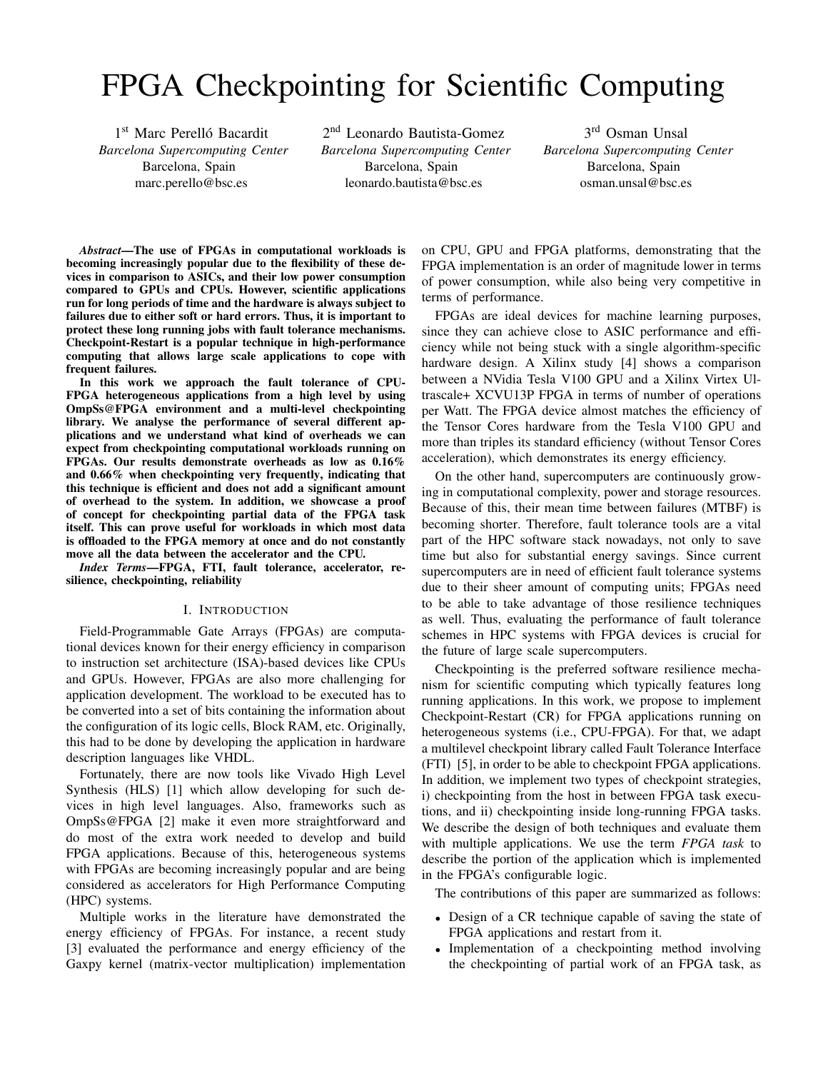# FPGA Checkpointing for Scientific Computing

1<sup>st</sup> Marc Perelló Bacardit *Barcelona Supercomputing Center* Barcelona, Spain marc.perello@bsc.es

2<sup>nd</sup> Leonardo Bautista-Gomez *Barcelona Supercomputing Center* Barcelona, Spain leonardo.bautista@bsc.es

3 rd Osman Unsal *Barcelona Supercomputing Center* Barcelona, Spain osman.unsal@bsc.es

*Abstract*—The use of FPGAs in computational workloads is becoming increasingly popular due to the flexibility of these devices in comparison to ASICs, and their low power consumption compared to GPUs and CPUs. However, scientific applications run for long periods of time and the hardware is always subject to failures due to either soft or hard errors. Thus, it is important to protect these long running jobs with fault tolerance mechanisms. Checkpoint-Restart is a popular technique in high-performance computing that allows large scale applications to cope with frequent failures.

In this work we approach the fault tolerance of CPU-FPGA heterogeneous applications from a high level by using OmpSs@FPGA environment and a multi-level checkpointing library. We analyse the performance of several different applications and we understand what kind of overheads we can expect from checkpointing computational workloads running on FPGAs. Our results demonstrate overheads as low as 0.16% and 0.66% when checkpointing very frequently, indicating that this technique is efficient and does not add a significant amount of overhead to the system. In addition, we showcase a proof of concept for checkpointing partial data of the FPGA task itself. This can prove useful for workloads in which most data is offloaded to the FPGA memory at once and do not constantly move all the data between the accelerator and the CPU.

*Index Terms*—FPGA, FTI, fault tolerance, accelerator, resilience, checkpointing, reliability

#### I. INTRODUCTION

Field-Programmable Gate Arrays (FPGAs) are computational devices known for their energy efficiency in comparison to instruction set architecture (ISA)-based devices like CPUs and GPUs. However, FPGAs are also more challenging for application development. The workload to be executed has to be converted into a set of bits containing the information about the configuration of its logic cells, Block RAM, etc. Originally, this had to be done by developing the application in hardware description languages like VHDL.

Fortunately, there are now tools like Vivado High Level Synthesis (HLS) [1] which allow developing for such devices in high level languages. Also, frameworks such as OmpSs@FPGA [2] make it even more straightforward and do most of the extra work needed to develop and build FPGA applications. Because of this, heterogeneous systems with FPGAs are becoming increasingly popular and are being considered as accelerators for High Performance Computing (HPC) systems.

Multiple works in the literature have demonstrated the energy efficiency of FPGAs. For instance, a recent study [3] evaluated the performance and energy efficiency of the Gaxpy kernel (matrix-vector multiplication) implementation on CPU, GPU and FPGA platforms, demonstrating that the FPGA implementation is an order of magnitude lower in terms of power consumption, while also being very competitive in terms of performance.

FPGAs are ideal devices for machine learning purposes, since they can achieve close to ASIC performance and efficiency while not being stuck with a single algorithm-specific hardware design. A Xilinx study [4] shows a comparison between a NVidia Tesla V100 GPU and a Xilinx Virtex Ultrascale+ XCVU13P FPGA in terms of number of operations per Watt. The FPGA device almost matches the efficiency of the Tensor Cores hardware from the Tesla V100 GPU and more than triples its standard efficiency (without Tensor Cores acceleration), which demonstrates its energy efficiency.

On the other hand, supercomputers are continuously growing in computational complexity, power and storage resources. Because of this, their mean time between failures (MTBF) is becoming shorter. Therefore, fault tolerance tools are a vital part of the HPC software stack nowadays, not only to save time but also for substantial energy savings. Since current supercomputers are in need of efficient fault tolerance systems due to their sheer amount of computing units; FPGAs need to be able to take advantage of those resilience techniques as well. Thus, evaluating the performance of fault tolerance schemes in HPC systems with FPGA devices is crucial for the future of large scale supercomputers.

Checkpointing is the preferred software resilience mechanism for scientific computing which typically features long running applications. In this work, we propose to implement Checkpoint-Restart (CR) for FPGA applications running on heterogeneous systems (i.e., CPU-FPGA). For that, we adapt a multilevel checkpoint library called Fault Tolerance Interface (FTI) [5], in order to be able to checkpoint FPGA applications. In addition, we implement two types of checkpoint strategies, i) checkpointing from the host in between FPGA task executions, and ii) checkpointing inside long-running FPGA tasks. We describe the design of both techniques and evaluate them with multiple applications. We use the term *FPGA task* to describe the portion of the application which is implemented in the FPGA's configurable logic.

The contributions of this paper are summarized as follows:

- Design of a CR technique capable of saving the state of FPGA applications and restart from it.
- Implementation of a checkpointing method involving the checkpointing of partial work of an FPGA task, as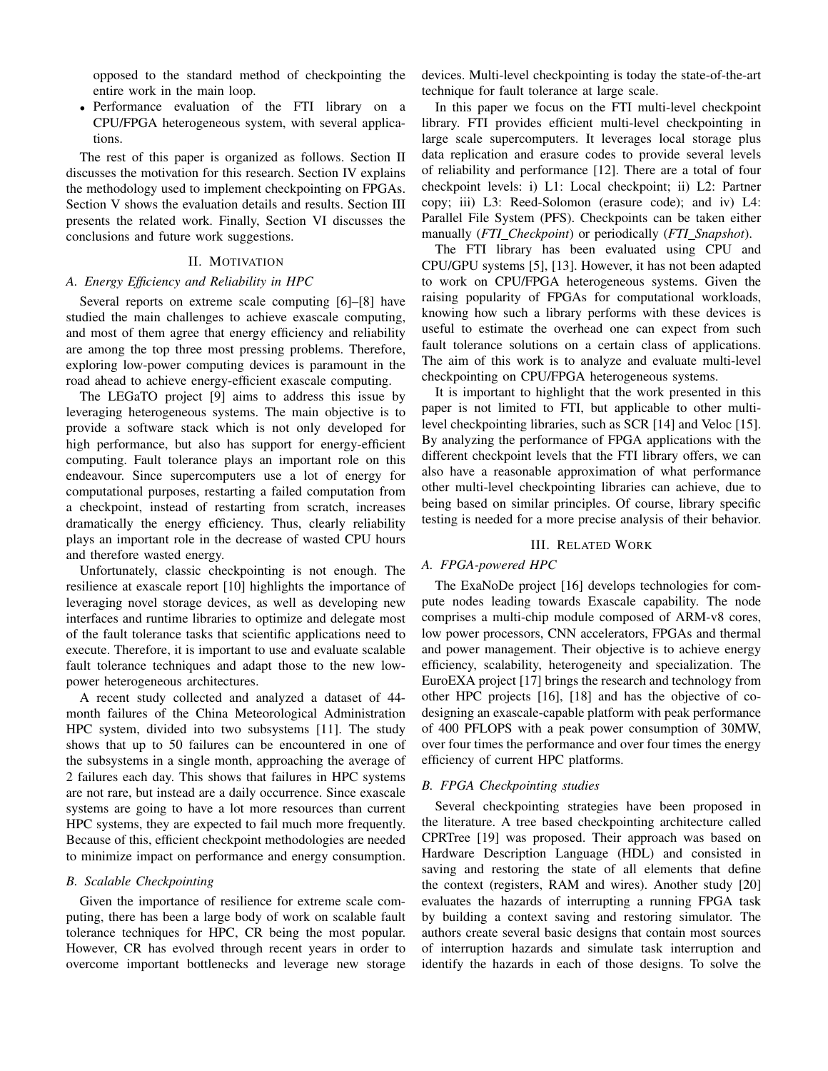opposed to the standard method of checkpointing the entire work in the main loop.

• Performance evaluation of the FTI library on a CPU/FPGA heterogeneous system, with several applications.

The rest of this paper is organized as follows. Section II discusses the motivation for this research. Section IV explains the methodology used to implement checkpointing on FPGAs. Section V shows the evaluation details and results. Section III presents the related work. Finally, Section VI discusses the conclusions and future work suggestions.

## II. MOTIVATION

### *A. Energy Efficiency and Reliability in HPC*

Several reports on extreme scale computing [6]–[8] have studied the main challenges to achieve exascale computing, and most of them agree that energy efficiency and reliability are among the top three most pressing problems. Therefore, exploring low-power computing devices is paramount in the road ahead to achieve energy-efficient exascale computing.

The LEGaTO project [9] aims to address this issue by leveraging heterogeneous systems. The main objective is to provide a software stack which is not only developed for high performance, but also has support for energy-efficient computing. Fault tolerance plays an important role on this endeavour. Since supercomputers use a lot of energy for computational purposes, restarting a failed computation from a checkpoint, instead of restarting from scratch, increases dramatically the energy efficiency. Thus, clearly reliability plays an important role in the decrease of wasted CPU hours and therefore wasted energy.

Unfortunately, classic checkpointing is not enough. The resilience at exascale report [10] highlights the importance of leveraging novel storage devices, as well as developing new interfaces and runtime libraries to optimize and delegate most of the fault tolerance tasks that scientific applications need to execute. Therefore, it is important to use and evaluate scalable fault tolerance techniques and adapt those to the new lowpower heterogeneous architectures.

A recent study collected and analyzed a dataset of 44 month failures of the China Meteorological Administration HPC system, divided into two subsystems [11]. The study shows that up to 50 failures can be encountered in one of the subsystems in a single month, approaching the average of 2 failures each day. This shows that failures in HPC systems are not rare, but instead are a daily occurrence. Since exascale systems are going to have a lot more resources than current HPC systems, they are expected to fail much more frequently. Because of this, efficient checkpoint methodologies are needed to minimize impact on performance and energy consumption.

#### *B. Scalable Checkpointing*

Given the importance of resilience for extreme scale computing, there has been a large body of work on scalable fault tolerance techniques for HPC, CR being the most popular. However, CR has evolved through recent years in order to overcome important bottlenecks and leverage new storage devices. Multi-level checkpointing is today the state-of-the-art technique for fault tolerance at large scale.

In this paper we focus on the FTI multi-level checkpoint library. FTI provides efficient multi-level checkpointing in large scale supercomputers. It leverages local storage plus data replication and erasure codes to provide several levels of reliability and performance [12]. There are a total of four checkpoint levels: i) L1: Local checkpoint; ii) L2: Partner copy; iii) L3: Reed-Solomon (erasure code); and iv) L4: Parallel File System (PFS). Checkpoints can be taken either manually (*FTI Checkpoint*) or periodically (*FTI Snapshot*).

The FTI library has been evaluated using CPU and CPU/GPU systems [5], [13]. However, it has not been adapted to work on CPU/FPGA heterogeneous systems. Given the raising popularity of FPGAs for computational workloads, knowing how such a library performs with these devices is useful to estimate the overhead one can expect from such fault tolerance solutions on a certain class of applications. The aim of this work is to analyze and evaluate multi-level checkpointing on CPU/FPGA heterogeneous systems.

It is important to highlight that the work presented in this paper is not limited to FTI, but applicable to other multilevel checkpointing libraries, such as SCR [14] and Veloc [15]. By analyzing the performance of FPGA applications with the different checkpoint levels that the FTI library offers, we can also have a reasonable approximation of what performance other multi-level checkpointing libraries can achieve, due to being based on similar principles. Of course, library specific testing is needed for a more precise analysis of their behavior.

#### III. RELATED WORK

# *A. FPGA-powered HPC*

The ExaNoDe project [16] develops technologies for compute nodes leading towards Exascale capability. The node comprises a multi-chip module composed of ARM-v8 cores, low power processors, CNN accelerators, FPGAs and thermal and power management. Their objective is to achieve energy efficiency, scalability, heterogeneity and specialization. The EuroEXA project [17] brings the research and technology from other HPC projects [16], [18] and has the objective of codesigning an exascale-capable platform with peak performance of 400 PFLOPS with a peak power consumption of 30MW, over four times the performance and over four times the energy efficiency of current HPC platforms.

## *B. FPGA Checkpointing studies*

Several checkpointing strategies have been proposed in the literature. A tree based checkpointing architecture called CPRTree [19] was proposed. Their approach was based on Hardware Description Language (HDL) and consisted in saving and restoring the state of all elements that define the context (registers, RAM and wires). Another study [20] evaluates the hazards of interrupting a running FPGA task by building a context saving and restoring simulator. The authors create several basic designs that contain most sources of interruption hazards and simulate task interruption and identify the hazards in each of those designs. To solve the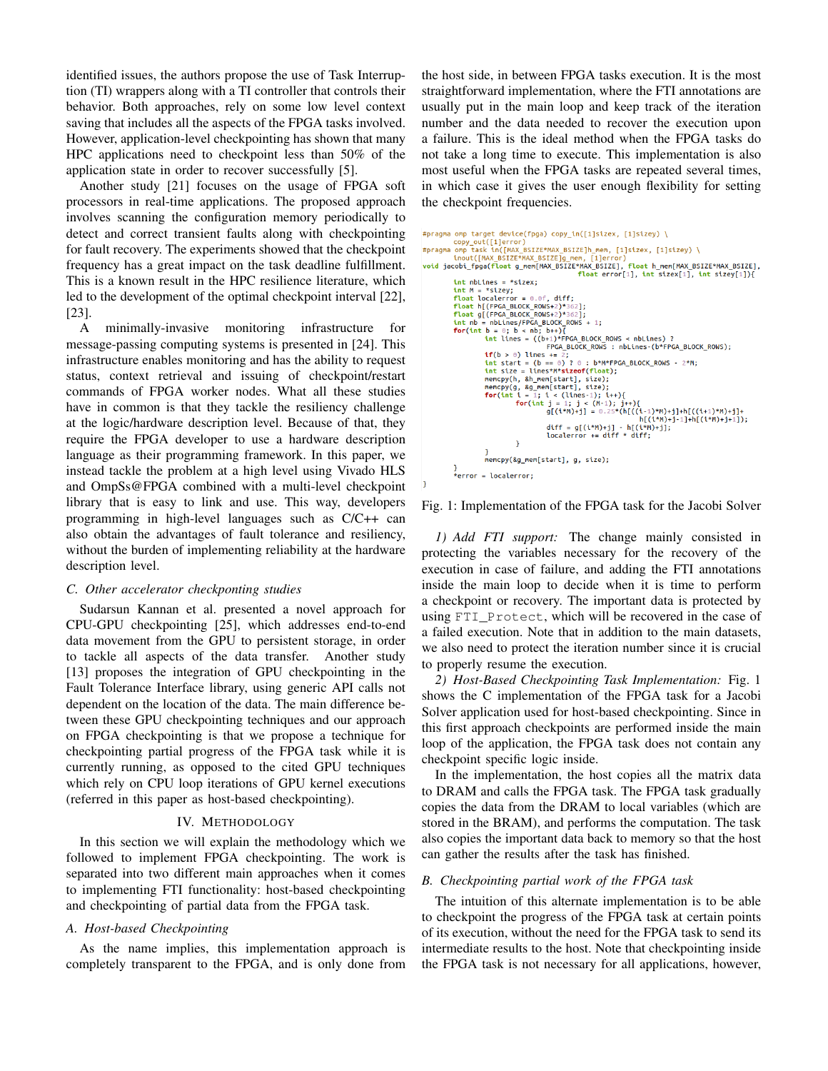identified issues, the authors propose the use of Task Interruption (TI) wrappers along with a TI controller that controls their behavior. Both approaches, rely on some low level context saving that includes all the aspects of the FPGA tasks involved. However, application-level checkpointing has shown that many HPC applications need to checkpoint less than 50% of the application state in order to recover successfully [5].

Another study [21] focuses on the usage of FPGA soft processors in real-time applications. The proposed approach involves scanning the configuration memory periodically to detect and correct transient faults along with checkpointing for fault recovery. The experiments showed that the checkpoint frequency has a great impact on the task deadline fulfillment. This is a known result in the HPC resilience literature, which led to the development of the optimal checkpoint interval [22], [23].

A minimally-invasive monitoring infrastructure for message-passing computing systems is presented in [24]. This infrastructure enables monitoring and has the ability to request status, context retrieval and issuing of checkpoint/restart commands of FPGA worker nodes. What all these studies have in common is that they tackle the resiliency challenge at the logic/hardware description level. Because of that, they require the FPGA developer to use a hardware description language as their programming framework. In this paper, we instead tackle the problem at a high level using Vivado HLS and OmpSs@FPGA combined with a multi-level checkpoint library that is easy to link and use. This way, developers programming in high-level languages such as C/C++ can also obtain the advantages of fault tolerance and resiliency, without the burden of implementing reliability at the hardware description level.

#### *C. Other accelerator checkponting studies*

Sudarsun Kannan et al. presented a novel approach for CPU-GPU checkpointing [25], which addresses end-to-end data movement from the GPU to persistent storage, in order to tackle all aspects of the data transfer. Another study [13] proposes the integration of GPU checkpointing in the Fault Tolerance Interface library, using generic API calls not dependent on the location of the data. The main difference between these GPU checkpointing techniques and our approach on FPGA checkpointing is that we propose a technique for checkpointing partial progress of the FPGA task while it is currently running, as opposed to the cited GPU techniques which rely on CPU loop iterations of GPU kernel executions (referred in this paper as host-based checkpointing).

## IV. METHODOLOGY

In this section we will explain the methodology which we followed to implement FPGA checkpointing. The work is separated into two different main approaches when it comes to implementing FTI functionality: host-based checkpointing and checkpointing of partial data from the FPGA task.

## *A. Host-based Checkpointing*

As the name implies, this implementation approach is completely transparent to the FPGA, and is only done from the host side, in between FPGA tasks execution. It is the most straightforward implementation, where the FTI annotations are usually put in the main loop and keep track of the iteration number and the data needed to recover the execution upon a failure. This is the ideal method when the FPGA tasks do not take a long time to execute. This implementation is also most useful when the FPGA tasks are repeated several times, in which case it gives the user enough flexibility for setting the checkpoint frequencies.

```
#pragma omp target device(fpga) copy_in([1]sizex, [1]sizey) \
copy_out([1]error)<br>#pragma omp task in([MAX_BSIZE*MAX_BSIZE]h_mem, [1]sizex, [1]sizey) \
#pragma omp task in(|MAX_BSIZE*MAX_BSIZE]_nem, [1]Sizex, [1]Sizey) \<br>inout(|MAX_BSIZE*MAX_BSIZE]g_mem, [1]error)<br>void jacobi_fpga(float g_mem[MAX_BSIZE*MAX_BSIZE], float h_mem[MAX_BSIZE*MAX_BSIZE],<br>tht nblines = *sizex;<br>th
               int \n  <i>nbLines</i> = *sizex;int M = *sizey;<br>float localerror = 0.0f, diff;
               for(int b = 0; b < nb; b++){<br>
int lines = ((b+1)*FPGA_BLOCK_ROWS < nbLines) ?<br>
FPGA_BLOCK_ROWS : nbLines (b*FPGA_BLOCK_ROWS);<br>
FPGA_BLOCK_ROWS : nbLines (b*FPGA_BLOCK_ROWS);
                             if(b > 0) lines += 2;
                             if(b > 0) lines += 2;<br>
int start = (b == 0)? 0 : b*M*FPGA_BLOCK_ROWS - 2*M;<br>
int size = lines*M*sizeof(float);<br>
nencpy(h, &h_mem[start], size);<br>
for(int i = 1; i < (lines-1); ii+){<br>
for(int i = 1; i < (lines-1); ii+){<br>
fo
                                           \mathcal{Y}memcpy(&g_mem[start], g, size);
              }<br>*error = localerror;
```
Fig. 1: Implementation of the FPGA task for the Jacobi Solver

*1) Add FTI support:* The change mainly consisted in protecting the variables necessary for the recovery of the execution in case of failure, and adding the FTI annotations inside the main loop to decide when it is time to perform a checkpoint or recovery. The important data is protected by using FTI\_Protect, which will be recovered in the case of a failed execution. Note that in addition to the main datasets, we also need to protect the iteration number since it is crucial to properly resume the execution.

*2) Host-Based Checkpointing Task Implementation:* Fig. 1 shows the C implementation of the FPGA task for a Jacobi Solver application used for host-based checkpointing. Since in this first approach checkpoints are performed inside the main loop of the application, the FPGA task does not contain any checkpoint specific logic inside.

In the implementation, the host copies all the matrix data to DRAM and calls the FPGA task. The FPGA task gradually copies the data from the DRAM to local variables (which are stored in the BRAM), and performs the computation. The task also copies the important data back to memory so that the host can gather the results after the task has finished.

#### *B. Checkpointing partial work of the FPGA task*

The intuition of this alternate implementation is to be able to checkpoint the progress of the FPGA task at certain points of its execution, without the need for the FPGA task to send its intermediate results to the host. Note that checkpointing inside the FPGA task is not necessary for all applications, however,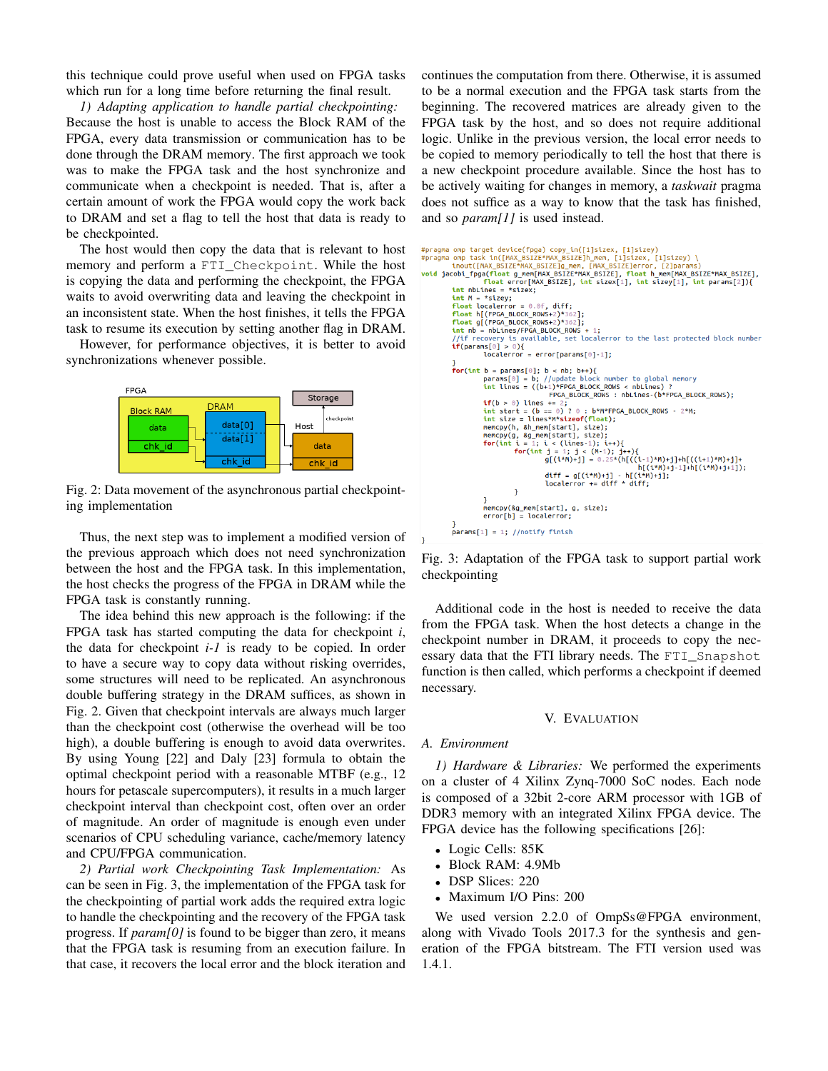this technique could prove useful when used on FPGA tasks which run for a long time before returning the final result.

*1) Adapting application to handle partial checkpointing:* Because the host is unable to access the Block RAM of the FPGA, every data transmission or communication has to be done through the DRAM memory. The first approach we took was to make the FPGA task and the host synchronize and communicate when a checkpoint is needed. That is, after a certain amount of work the FPGA would copy the work back to DRAM and set a flag to tell the host that data is ready to be checkpointed.

The host would then copy the data that is relevant to host memory and perform a FTI\_Checkpoint. While the host is copying the data and performing the checkpoint, the FPGA waits to avoid overwriting data and leaving the checkpoint in an inconsistent state. When the host finishes, it tells the FPGA task to resume its execution by setting another flag in DRAM.

However, for performance objectives, it is better to avoid synchronizations whenever possible.



Fig. 2: Data movement of the asynchronous partial checkpointing implementation

Thus, the next step was to implement a modified version of the previous approach which does not need synchronization between the host and the FPGA task. In this implementation, the host checks the progress of the FPGA in DRAM while the FPGA task is constantly running.

The idea behind this new approach is the following: if the FPGA task has started computing the data for checkpoint *i*, the data for checkpoint *i-1* is ready to be copied. In order to have a secure way to copy data without risking overrides, some structures will need to be replicated. An asynchronous double buffering strategy in the DRAM suffices, as shown in Fig. 2. Given that checkpoint intervals are always much larger than the checkpoint cost (otherwise the overhead will be too high), a double buffering is enough to avoid data overwrites. By using Young [22] and Daly [23] formula to obtain the optimal checkpoint period with a reasonable MTBF (e.g., 12 hours for petascale supercomputers), it results in a much larger checkpoint interval than checkpoint cost, often over an order of magnitude. An order of magnitude is enough even under scenarios of CPU scheduling variance, cache/memory latency and CPU/FPGA communication.

*2) Partial work Checkpointing Task Implementation:* As can be seen in Fig. 3, the implementation of the FPGA task for the checkpointing of partial work adds the required extra logic to handle the checkpointing and the recovery of the FPGA task progress. If *param[0]* is found to be bigger than zero, it means that the FPGA task is resuming from an execution failure. In that case, it recovers the local error and the block iteration and continues the computation from there. Otherwise, it is assumed to be a normal execution and the FPGA task starts from the beginning. The recovered matrices are already given to the FPGA task by the host, and so does not require additional logic. Unlike in the previous version, the local error needs to be copied to memory periodically to tell the host that there is a new checkpoint procedure available. Since the host has to be actively waiting for changes in memory, a *taskwait* pragma does not suffice as a way to know that the task has finished, and so *param[1]* is used instead.



Fig. 3: Adaptation of the FPGA task to support partial work checkpointing

Additional code in the host is needed to receive the data from the FPGA task. When the host detects a change in the checkpoint number in DRAM, it proceeds to copy the necessary data that the FTI library needs. The FTI Snapshot function is then called, which performs a checkpoint if deemed necessary.

#### V. EVALUATION

#### *A. Environment*

*1) Hardware & Libraries:* We performed the experiments on a cluster of 4 Xilinx Zynq-7000 SoC nodes. Each node is composed of a 32bit 2-core ARM processor with 1GB of DDR3 memory with an integrated Xilinx FPGA device. The FPGA device has the following specifications [26]:

- Logic Cells: 85K
- Block RAM: 4.9Mb
- DSP Slices: 220
- Maximum I/O Pins: 200

We used version 2.2.0 of OmpSs@FPGA environment, along with Vivado Tools 2017.3 for the synthesis and generation of the FPGA bitstream. The FTI version used was 1.4.1.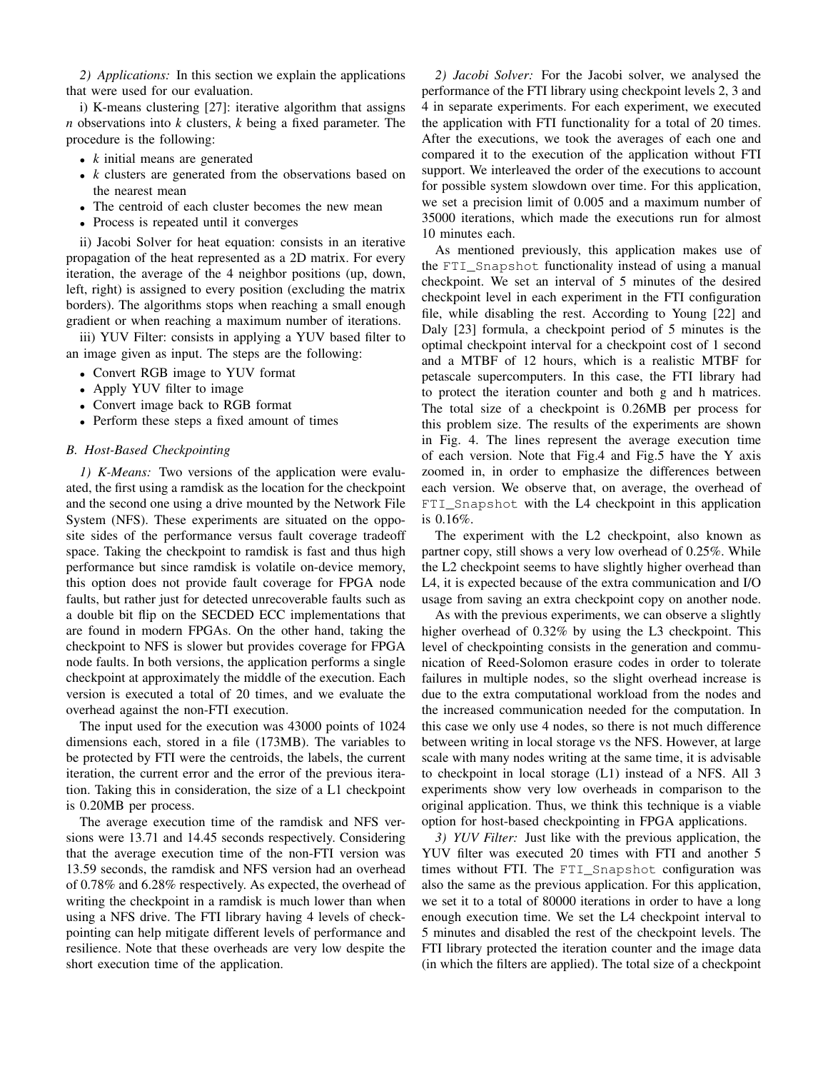*2) Applications:* In this section we explain the applications that were used for our evaluation.

i) K-means clustering [27]: iterative algorithm that assigns *n* observations into *k* clusters, *k* being a fixed parameter. The procedure is the following:

- *k* initial means are generated
- *k* clusters are generated from the observations based on the nearest mean
- The centroid of each cluster becomes the new mean
- Process is repeated until it converges

ii) Jacobi Solver for heat equation: consists in an iterative propagation of the heat represented as a 2D matrix. For every iteration, the average of the 4 neighbor positions (up, down, left, right) is assigned to every position (excluding the matrix borders). The algorithms stops when reaching a small enough gradient or when reaching a maximum number of iterations.

iii) YUV Filter: consists in applying a YUV based filter to an image given as input. The steps are the following:

- Convert RGB image to YUV format
- Apply YUV filter to image
- Convert image back to RGB format
- Perform these steps a fixed amount of times

## *B. Host-Based Checkpointing*

*1) K-Means:* Two versions of the application were evaluated, the first using a ramdisk as the location for the checkpoint and the second one using a drive mounted by the Network File System (NFS). These experiments are situated on the opposite sides of the performance versus fault coverage tradeoff space. Taking the checkpoint to ramdisk is fast and thus high performance but since ramdisk is volatile on-device memory, this option does not provide fault coverage for FPGA node faults, but rather just for detected unrecoverable faults such as a double bit flip on the SECDED ECC implementations that are found in modern FPGAs. On the other hand, taking the checkpoint to NFS is slower but provides coverage for FPGA node faults. In both versions, the application performs a single checkpoint at approximately the middle of the execution. Each version is executed a total of 20 times, and we evaluate the overhead against the non-FTI execution.

The input used for the execution was 43000 points of 1024 dimensions each, stored in a file (173MB). The variables to be protected by FTI were the centroids, the labels, the current iteration, the current error and the error of the previous iteration. Taking this in consideration, the size of a L1 checkpoint is 0.20MB per process.

The average execution time of the ramdisk and NFS versions were 13.71 and 14.45 seconds respectively. Considering that the average execution time of the non-FTI version was 13.59 seconds, the ramdisk and NFS version had an overhead of 0.78% and 6.28% respectively. As expected, the overhead of writing the checkpoint in a ramdisk is much lower than when using a NFS drive. The FTI library having 4 levels of checkpointing can help mitigate different levels of performance and resilience. Note that these overheads are very low despite the short execution time of the application.

*2) Jacobi Solver:* For the Jacobi solver, we analysed the performance of the FTI library using checkpoint levels 2, 3 and 4 in separate experiments. For each experiment, we executed the application with FTI functionality for a total of 20 times. After the executions, we took the averages of each one and compared it to the execution of the application without FTI support. We interleaved the order of the executions to account for possible system slowdown over time. For this application, we set a precision limit of 0.005 and a maximum number of 35000 iterations, which made the executions run for almost 10 minutes each.

As mentioned previously, this application makes use of the FTI\_Snapshot functionality instead of using a manual checkpoint. We set an interval of 5 minutes of the desired checkpoint level in each experiment in the FTI configuration file, while disabling the rest. According to Young [22] and Daly [23] formula, a checkpoint period of 5 minutes is the optimal checkpoint interval for a checkpoint cost of 1 second and a MTBF of 12 hours, which is a realistic MTBF for petascale supercomputers. In this case, the FTI library had to protect the iteration counter and both g and h matrices. The total size of a checkpoint is 0.26MB per process for this problem size. The results of the experiments are shown in Fig. 4. The lines represent the average execution time of each version. Note that Fig.4 and Fig.5 have the Y axis zoomed in, in order to emphasize the differences between each version. We observe that, on average, the overhead of FTI\_Snapshot with the L4 checkpoint in this application is 0.16%.

The experiment with the L2 checkpoint, also known as partner copy, still shows a very low overhead of 0.25%. While the L2 checkpoint seems to have slightly higher overhead than L4, it is expected because of the extra communication and I/O usage from saving an extra checkpoint copy on another node.

As with the previous experiments, we can observe a slightly higher overhead of 0.32% by using the L3 checkpoint. This level of checkpointing consists in the generation and communication of Reed-Solomon erasure codes in order to tolerate failures in multiple nodes, so the slight overhead increase is due to the extra computational workload from the nodes and the increased communication needed for the computation. In this case we only use 4 nodes, so there is not much difference between writing in local storage vs the NFS. However, at large scale with many nodes writing at the same time, it is advisable to checkpoint in local storage (L1) instead of a NFS. All 3 experiments show very low overheads in comparison to the original application. Thus, we think this technique is a viable option for host-based checkpointing in FPGA applications.

*3) YUV Filter:* Just like with the previous application, the YUV filter was executed 20 times with FTI and another 5 times without FTI. The FTI\_Snapshot configuration was also the same as the previous application. For this application, we set it to a total of 80000 iterations in order to have a long enough execution time. We set the L4 checkpoint interval to 5 minutes and disabled the rest of the checkpoint levels. The FTI library protected the iteration counter and the image data (in which the filters are applied). The total size of a checkpoint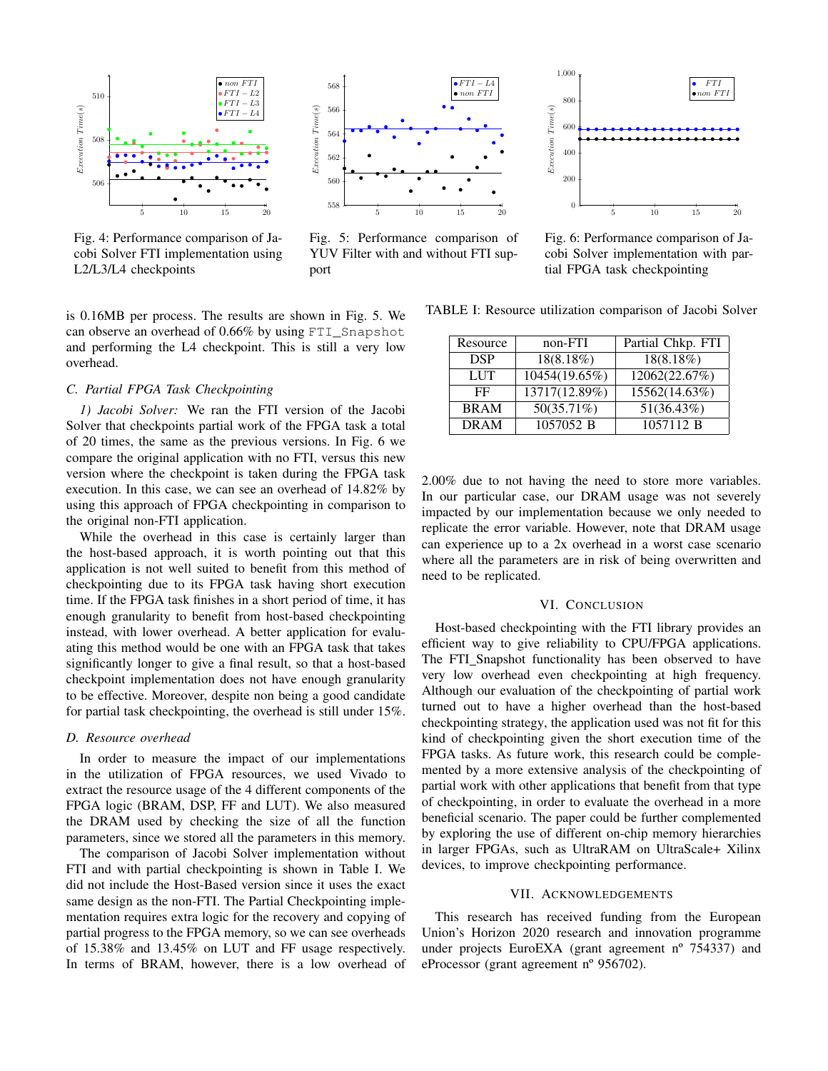

Fig. 4: Performance comparison of Jacobi Solver FTI implementation using L2/L3/L4 checkpoints

is 0.16MB per process. The results are shown in Fig. 5. We can observe an overhead of 0.66% by using FTI\_Snapshot and performing the L4 checkpoint. This is still a very low overhead.

### *C. Partial FPGA Task Checkpointing*

*1) Jacobi Solver:* We ran the FTI version of the Jacobi Solver that checkpoints partial work of the FPGA task a total of 20 times, the same as the previous versions. In Fig. 6 we compare the original application with no FTI, versus this new version where the checkpoint is taken during the FPGA task execution. In this case, we can see an overhead of 14.82% by using this approach of FPGA checkpointing in comparison to the original non-FTI application.

While the overhead in this case is certainly larger than the host-based approach, it is worth pointing out that this application is not well suited to benefit from this method of checkpointing due to its FPGA task having short execution time. If the FPGA task finishes in a short period of time, it has enough granularity to benefit from host-based checkpointing instead, with lower overhead. A better application for evaluating this method would be one with an FPGA task that takes significantly longer to give a final result, so that a host-based checkpoint implementation does not have enough granularity to be effective. Moreover, despite non being a good candidate for partial task checkpointing, the overhead is still under 15%.

#### *D. Resource overhead*

In order to measure the impact of our implementations in the utilization of FPGA resources, we used Vivado to extract the resource usage of the 4 different components of the FPGA logic (BRAM, DSP, FF and LUT). We also measured the DRAM used by checking the size of all the function parameters, since we stored all the parameters in this memory.

The comparison of Jacobi Solver implementation without FTI and with partial checkpointing is shown in Table I. We did not include the Host-Based version since it uses the exact same design as the non-FTI. The Partial Checkpointing implementation requires extra logic for the recovery and copying of partial progress to the FPGA memory, so we can see overheads of 15.38% and 13.45% on LUT and FF usage respectively. In terms of BRAM, however, there is a low overhead of



Fig. 5: Performance comparison of YUV Filter with and without FTI support



Fig. 6: Performance comparison of Jacobi Solver implementation with partial FPGA task checkpointing

TABLE I: Resource utilization comparison of Jacobi Solver

| Resource    | non-FTI                  | Partial Chkp. FTI |
|-------------|--------------------------|-------------------|
| <b>DSP</b>  | 18(8.18%)                | $18(8.18\%)$      |
| <b>LUT</b>  | 10454(19.65%)            | 12062(22.67%)     |
| FF          | 13717(12.89%)            | 15562(14.63%)     |
| <b>BRAM</b> | $\overline{50(35.71\%)}$ | 51(36.43%)        |
| <b>DRAM</b> | 1057052 B                | 1057112 B         |

2.00% due to not having the need to store more variables. In our particular case, our DRAM usage was not severely impacted by our implementation because we only needed to replicate the error variable. However, note that DRAM usage can experience up to a 2x overhead in a worst case scenario where all the parameters are in risk of being overwritten and need to be replicated.

# VI. CONCLUSION

Host-based checkpointing with the FTI library provides an efficient way to give reliability to CPU/FPGA applications. The FTI\_Snapshot functionality has been observed to have very low overhead even checkpointing at high frequency. Although our evaluation of the checkpointing of partial work turned out to have a higher overhead than the host-based checkpointing strategy, the application used was not fit for this kind of checkpointing given the short execution time of the FPGA tasks. As future work, this research could be complemented by a more extensive analysis of the checkpointing of partial work with other applications that benefit from that type of checkpointing, in order to evaluate the overhead in a more beneficial scenario. The paper could be further complemented by exploring the use of different on-chip memory hierarchies in larger FPGAs, such as UltraRAM on UltraScale+ Xilinx devices, to improve checkpointing performance.

#### VII. ACKNOWLEDGEMENTS

This research has received funding from the European Union's Horizon 2020 research and innovation programme under projects EuroEXA (grant agreement nº 754337) and eProcessor (grant agreement nº 956702).